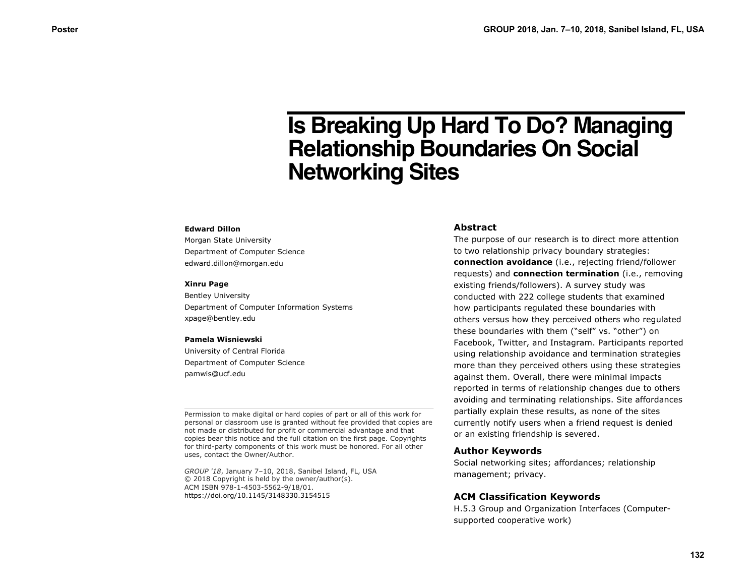# **Is Breaking Up Hard To Do? Managing Relationship Boundaries On Social Networking Sites**

#### **Edward Dillon**

Morgan State University Department of Computer Science edward.dillon@morgan.edu

#### **Xinru Page**

Bentley University Department of Computer Information Systems xpage@bentley.edu

#### **Pamela Wisniewski**

University of Central Florida Department of Computer Science pamwis@ucf.edu

Permission to make digital or hard copies of part or all of this work for personal or classroom use is granted without fee provided that copies are not made or distributed for profit or commercial advantage and that copies bear this notice and the full citation on the first page. Copyrights for third-party components of this work must be honored. For all other uses, contact the Owner/Author.

*GROUP '18*, January 7–10, 2018, Sanibel Island, FL, USA © 2018 Copyright is held by the owner/author(s). ACM ISBN 978-1-4503-5562-9/18/01. https://doi.org/10.1145/3148330.3154515

#### **Abstract**

The purpose of our research is to direct more attention to two relationship privacy boundary strategies: **connection avoidance** (i.e., rejecting friend/follower requests) and **connection termination** (i.e., removing existing friends/followers). A survey study was conducted with 222 college students that examined how participants regulated these boundaries with others versus how they perceived others who regulated these boundaries with them ("self" vs. "other") on Facebook, Twitter, and Instagram. Participants reported using relationship avoidance and termination strategies more than they perceived others using these strategies against them. Overall, there were minimal impacts reported in terms of relationship changes due to others avoiding and terminating relationships. Site affordances partially explain these results, as none of the sites currently notify users when a friend request is denied or an existing friendship is severed.

#### **Author Keywords**

Social networking sites; affordances; relationship management; privacy.

#### **ACM Classification Keywords**

H.5.3 Group and Organization Interfaces (Computersupported cooperative work)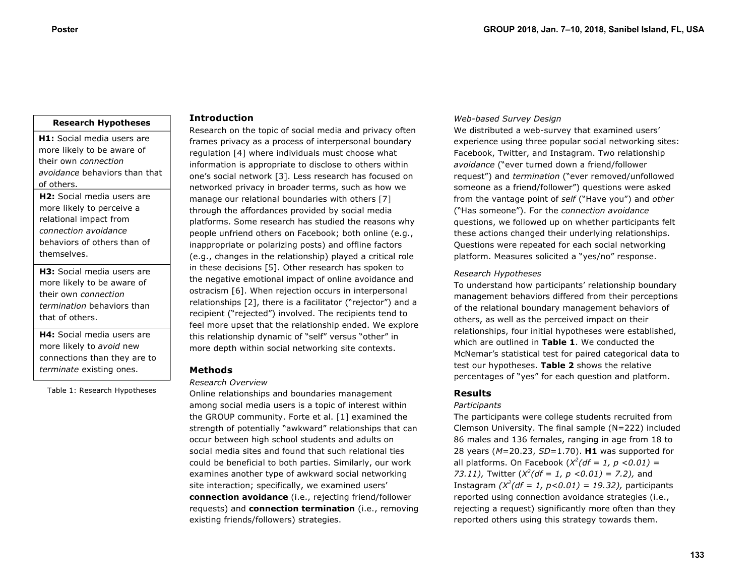# **Research Hypotheses**

**H1:** Social media users are more likely to be aware of their own *connection avoidance* behaviors than that of others.

**H2:** Social media users are more likely to perceive a relational impact from *connection avoidance* behaviors of others than of themselves.

**H3:** Social media users are more likely to be aware of their own *connection termination* behaviors than that of others.

**H4:** Social media users are more likely to *avoid* new connections than they are to *terminate* existing ones.

Table 1: Research Hypotheses

# **Introduction**

Research on the topic of social media and privacy often frames privacy as a process of interpersonal boundary regulation [4] where individuals must choose what information is appropriate to disclose to others within one's social network [3]. Less research has focused on networked privacy in broader terms, such as how we manage our relational boundaries with others [7] through the affordances provided by social media platforms. Some research has studied the reasons why people unfriend others on Facebook; both online (e.g., inappropriate or polarizing posts) and offline factors (e.g., changes in the relationship) played a critical role in these decisions [5]. Other research has spoken to the negative emotional impact of online avoidance and ostracism [6]. When rejection occurs in interpersonal relationships [2], there is a facilitator ("rejector") and a recipient ("rejected") involved. The recipients tend to feel more upset that the relationship ended. We explore this relationship dynamic of "self" versus "other" in more depth within social networking site contexts.

# **Methods**

# *Research Overview*

Online relationships and boundaries management among social media users is a topic of interest within the GROUP community. Forte et al. [1] examined the strength of potentially "awkward" relationships that can occur between high school students and adults on social media sites and found that such relational ties could be beneficial to both parties. Similarly, our work examines another type of awkward social networking site interaction; specifically, we examined users' **connection avoidance** (i.e., rejecting friend/follower requests) and **connection termination** (i.e., removing existing friends/followers) strategies.

### *Web-based Survey Design*

We distributed a web-survey that examined users' experience using three popular social networking sites: Facebook, Twitter, and Instagram. Two relationship *avoidance* ("ever turned down a friend/follower request") and *termination* ("ever removed/unfollowed someone as a friend/follower") questions were asked from the vantage point of *self* ("Have you") and *other* ("Has someone"). For the *connection avoidance*  questions, we followed up on whether participants felt these actions changed their underlying relationships. Questions were repeated for each social networking platform. Measures solicited a "yes/no" response.

#### *Research Hypotheses*

To understand how participants' relationship boundary management behaviors differed from their perceptions of the relational boundary management behaviors of others, as well as the perceived impact on their relationships, four initial hypotheses were established, which are outlined in **Table 1**. We conducted the McNemar's statistical test for paired categorical data to test our hypotheses. **Table 2** shows the relative percentages of "yes" for each question and platform.

#### **Results**

#### *Participants*

The participants were college students recruited from Clemson University. The final sample (N=222) included 86 males and 136 females, ranging in age from 18 to 28 years (*M*=20.23, *SD*=1.70). **H1** was supported for all platforms. On Facebook  $(X^2(df = 1, p < 0.01) =$ *73.11),* Twitter (*X<sup>2</sup> (df = 1, p <0.01) = 7.2),* and Instagram  $(X^2(df = 1, p < 0.01) = 19.32)$ , participants reported using connection avoidance strategies (i.e., rejecting a request) significantly more often than they reported others using this strategy towards them.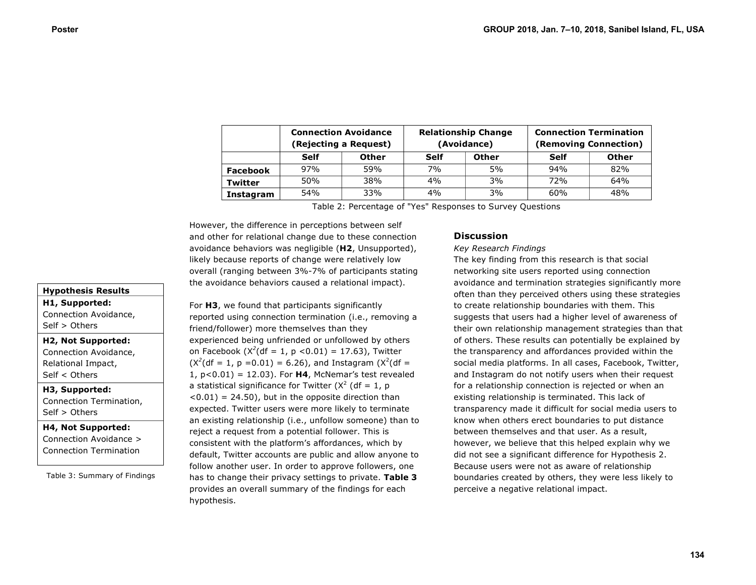|                | <b>Connection Avoidance</b><br>(Rejecting a Request) |              | <b>Relationship Change</b><br>(Avoidance) |              | <b>Connection Termination</b><br>(Removing Connection) |              |
|----------------|------------------------------------------------------|--------------|-------------------------------------------|--------------|--------------------------------------------------------|--------------|
|                | Self                                                 | <b>Other</b> | <b>Self</b>                               | <b>Other</b> | Self                                                   | <b>Other</b> |
| Facebook       | 97%                                                  | 59%          | 7%                                        | 5%           | 94%                                                    | 82%          |
| <b>Twitter</b> | 50%                                                  | 38%          | 4%                                        | 3%           | 72%                                                    | 64%          |
| Instagram      | 54%                                                  | 33%          | 4%                                        | 3%           | 60%                                                    | 48%          |

Table 2: Percentage of "Yes" Responses to Survey Questions

However, the difference in perceptions between self and other for relational change due to these connection avoidance behaviors was negligible (**H2**, Unsupported), likely because reports of change were relatively low overall (ranging between 3%-7% of participants stating the avoidance behaviors caused a relational impact).

**Hypothesis Results**

**H1, Supported:** Connection Avoidance, Self > Others

# **H2, Not Supported:**

Connection Avoidance, Relational Impact, Self < Others

# **H3, Supported:**

Connection Termination, Self > Others

**H4, Not Supported:**  Connection Avoidance > Connection Termination

Table 3: Summary of Findings

# For **H3**, we found that participants significantly reported using connection termination (i.e., removing a friend/follower) more themselves than they experienced being unfriended or unfollowed by others on Facebook  $(X^2(df = 1, p < 0.01) = 17.63)$ , Twitter  $(X^2(df = 1, p = 0.01) = 6.26)$ , and Instagram  $(X^2(df = 1, p = 0.01)$ 1, p<0.01) = 12.03). For **H4**, McNemar's test revealed a statistical significance for Twitter ( $X^2$  (df = 1, p  $(0.01) = 24.50$ , but in the opposite direction than expected. Twitter users were more likely to terminate an existing relationship (i.e., unfollow someone) than to reject a request from a potential follower. This is consistent with the platform's affordances, which by default, Twitter accounts are public and allow anyone to follow another user. In order to approve followers, one has to change their privacy settings to private. **Table 3** provides an overall summary of the findings for each hypothesis.

# **Discussion**

#### *Key Research Findings*

The key finding from this research is that social networking site users reported using connection avoidance and termination strategies significantly more often than they perceived others using these strategies to create relationship boundaries with them. This suggests that users had a higher level of awareness of their own relationship management strategies than that of others. These results can potentially be explained by the transparency and affordances provided within the social media platforms. In all cases, Facebook, Twitter, and Instagram do not notify users when their request for a relationship connection is rejected or when an existing relationship is terminated. This lack of transparency made it difficult for social media users to know when others erect boundaries to put distance between themselves and that user. As a result, however, we believe that this helped explain why we did not see a significant difference for Hypothesis 2. Because users were not as aware of relationship boundaries created by others, they were less likely to perceive a negative relational impact.